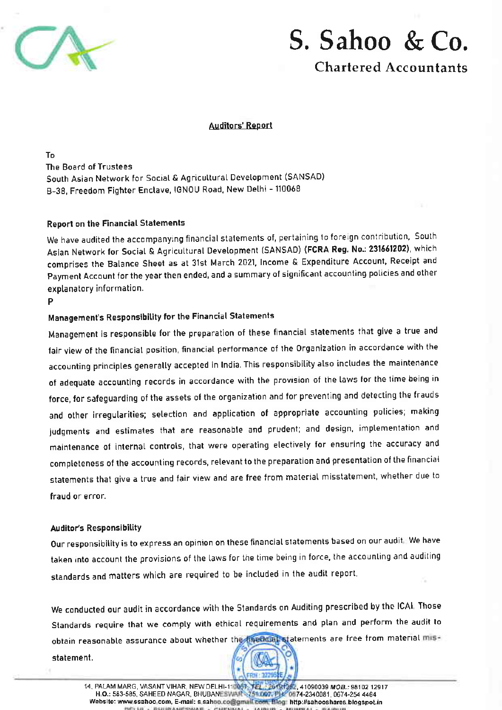



**Chartered Accountants** 

#### **Auditors' Report**

T<sub>n</sub> The Board of Trustees South Asian Network for Social & Agricultural Development (SANSAD) B-38, Freedom Fighter Enclave, IGNOU Road, New Delhi - 110068

#### **Report on the Financial Statements**

We have audited the accompanying financial statements of, pertaining to foreign contribution, South Asian Network for Social & Agricultural Development (SANSAD) (FCRA Reg. No.: 231661202), which comprises the Balance Sheet as at 31st March 2021, Income & Expenditure Account, Receipt and Payment Account for the year then ended, and a summary of significant accounting policies and other explanatory information.

#### P

### Management's Responsibility for the Financial Statements

Management is responsible for the preparation of these financial statements that give a true and fair view of the financial position, financial performance of the Organization in accordance with the accounting principles generally accepted in India. This responsibility also includes the maintenance of adequate accounting records in accordance with the provision of the laws for the time being in force, for safeguarding of the assets of the organization and for preventing and detecting the frauds and other irregularities; selection and application of appropriate accounting policies; making judgments and estimates that are reasonable and prudent; and design, implementation and maintenance of internal controls, that were operating electively for ensuring the accuracy and completeness of the accounting records, relevant to the preparation and presentation of the financial statements that give a true and fair view and are free from material misstatement, whether due to fraud or error.

#### **Auditor's Responsibility**

Our responsibility is to express an opinion on these financial statements based on our audit. We have taken into account the provisions of the laws for the time being in force, the accounting and auditing standards and matters which are required to be included in the audit report.

We conducted our audit in accordance with the Standards on Auditing prescribed by the ICAL Those Standards require that we comply with ethical requirements and plan and perform the audit to obtain reasonable assurance about whether the mediate statements are free from material mis-

statement.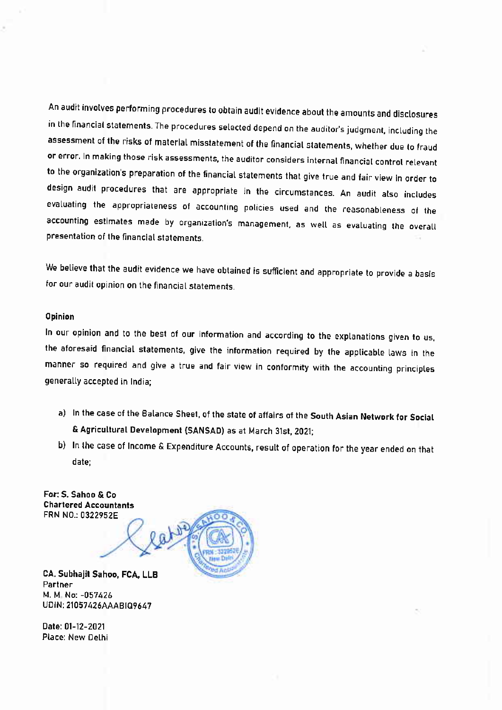An audit involves performing procedures to obtain audit evidence about the amounts and disclosures in the financial statements. The procedures selected depend on the auditor's judgment, including the assessment of the risks of material misstatement of the financial statements, whether due to fraud or error. In making those risk assessments, the auditor considers internal financial control relevant to the organization's preparation of the financial statements that give true and fair view in order to design audit procedures that are appropriate in the circumstances. An audit also includes evaluating the appropriateness of accounting policies used and the reasonableness of the accounting estimates made by organization's management, as well as evaluating the overall presentation of the financial statements.

We believe that the audit evidence we have obtained is sufficient and appropriate to provide a basis for our audit opinion on the financial statements.

#### Opinion

In our opinion and to the best of our information and according to the explanations given to us, the aforesaid financial statements, give the information required by the applicable laws in the manner so required and give a true and fair view in conformity with the accounting principles generally accepted in India;

- a) In the case of the Balance Sheet, of the state of affairs of the South Asian Network for Social & Agricultural Development (SANSAD) as at March 31st, 2021;
- b) In the case of Income & Expenditure Accounts, result of operation for the year ended on that date:

For: S. Sahoo & Co **Chartered Accountants** FRN NO.: 0322952E



CA. Subhajit Sahoo, FCA, LLB Partner M. M. No: - 057426 UDIN: 21057426AAABIQ9647

Date: 01-12-2021 Place: New Delhi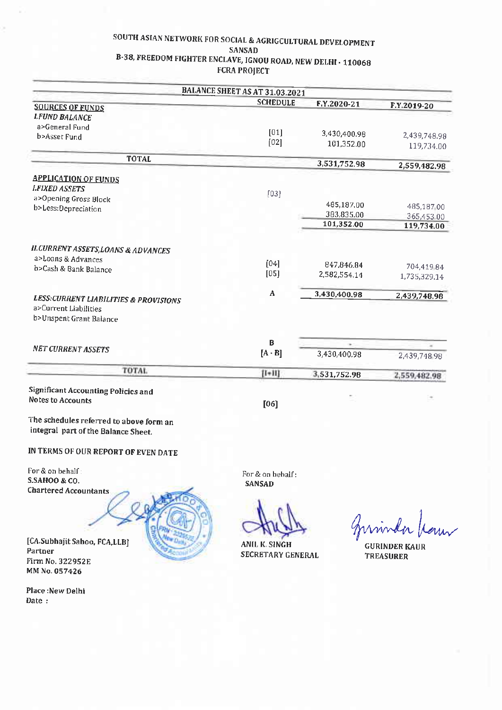#### SOUTH ASIAN NETWORK FOR SOCIAL & AGRIGCULTURAL DEVELOPMENT **SANSAD** B-38, FREEDOM FIGHTER ENCLAVE, IGNOU ROAD, NEW DELHI - 110068 **FCRA PROJECT**

|                                                                           | BALANCE SHEET AS AT 31.03.2021 |              |                          |
|---------------------------------------------------------------------------|--------------------------------|--------------|--------------------------|
| <b>SOURCES OF FUNDS</b>                                                   | <b>SCHEDULE</b>                | F.Y.2020-21  | F.Y.2019-20              |
| <b>LFUND BALANCE</b>                                                      |                                |              |                          |
| a>General Fund                                                            |                                |              |                          |
| b>Asset Fund                                                              | $[01]$                         | 3,430,400.98 | 2,439,748.98             |
|                                                                           | [02]                           | 101,352.00   | 119,734.00               |
| <b>TOTAL</b>                                                              |                                | 3,531,752.98 |                          |
|                                                                           |                                |              | 2,559,482.98             |
| <b>APPLICATION OF FUNDS</b>                                               |                                |              |                          |
| <b>LFIXED ASSETS</b>                                                      | $[03]$                         |              |                          |
| a>Opening Gross Block                                                     |                                | 485,187.00   | 485,187,00               |
| b>Less:Depreciation                                                       |                                | 383,835.00   |                          |
|                                                                           |                                | 101,352.00   | 365,453.00<br>119,734.00 |
|                                                                           |                                |              |                          |
| <b>ILCURRENT ASSETS, LOANS &amp; ADVANCES</b>                             |                                |              |                          |
| a>Loans & Advances                                                        |                                |              |                          |
| b>Cash & Bank Balance                                                     | [04]                           | 847,846.84   | 704,41984                |
|                                                                           | [05]                           | 2,582,554.14 | 1,735,329.14             |
|                                                                           | A                              | 3,430,400.98 | 2,439,748.98             |
| <b>LESS:CURRENT LIABILITIES &amp; PROVISIONS</b><br>a>Current Liabilities |                                |              |                          |
| b>Unspent Grant Balance                                                   |                                |              |                          |
|                                                                           |                                |              |                          |
|                                                                           | В                              | v.           |                          |
| <b>NET CURRENT ASSETS</b>                                                 | $[A - B]$                      | 3,430,400.98 | 2,439,748 98             |
| <b>TOTAL</b>                                                              |                                |              |                          |
|                                                                           | $[1+11]$                       | 3,531,752.98 | 2,559,482.98             |
| <b>Significant Accounting Policies and</b>                                |                                |              |                          |
| <b>Notes to Accounts</b>                                                  | [06]                           |              |                          |
|                                                                           |                                |              |                          |
| The schedules referred to above form an                                   |                                |              |                          |

integral part of the Balance Sheet.

#### IN TERMS OF OUR REPORT OF EVEN DATE

For & on behalf : S.SAHOO & CO. **Chartered Accountants** 

For & on behalf: **SANSAD** 

**ANIL K. SINGH SECRETARY GENERAL** 

**GURINDER KAUR TREASURER** 

[CA.Subhajit Sahoo, FCA,LLB] Partner Firm No. 322952E MM No. 057426

Place:New Delhi Date: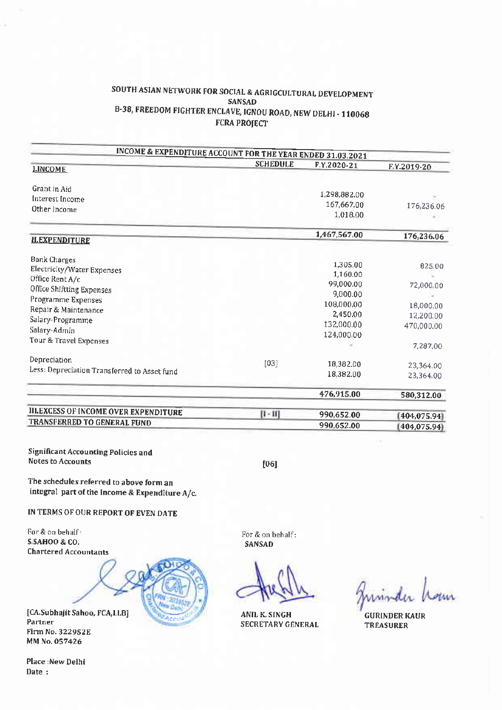#### SOUTH ASIAN NETWORK FOR SOCIAL & AGRIGCULTURAL DEVELOPMENT **SANSAD** B-38, FREEDOM FIGHTER ENCLAVE, IGNOU ROAD, NEW DELHI - 110068 **FCRA PROJECT**

| INCOME & EXPENDITURE ACCOUNT FOR THE YEAR ENDED 31.03.2021 | <b>SCHEDULE</b> | F.Y.2020-21            | F.Y.2019-20             |
|------------------------------------------------------------|-----------------|------------------------|-------------------------|
| <b>I.INCOME</b>                                            |                 |                        |                         |
| Grant in Aid                                               |                 |                        |                         |
| Interest Income                                            |                 | 1,298,882.00           |                         |
| Other Income                                               |                 | 167,667.00             | 176,236.06              |
|                                                            |                 | 1,018.00               |                         |
|                                                            |                 | 1,467,567.00           | 176,236.06              |
| <b>II.EXPENDITURE</b>                                      |                 |                        |                         |
| <b>Bank Charges</b>                                        |                 |                        |                         |
| Electricity/Water Expenses                                 |                 | 1,305.00               | 825.00                  |
| Office Rent A/c                                            |                 | 1,160.00<br>99,000.00  |                         |
| Office Shiftting Expenses                                  |                 |                        | 72,000.00               |
| Programme Expenses                                         |                 | 9,000.00               |                         |
| Repair & Maintenance                                       |                 | 108,000.00             | 18,000.00               |
| Salary-Programme<br>Salary-Admin                           |                 | 2,450.00<br>132,000.00 | 12,200.00<br>470,000.00 |
|                                                            |                 |                        |                         |
|                                                            |                 |                        | 7,287.00                |
| Depreciation                                               | [03]            | 18,382.00              | 23,364.00               |
| Less: Depreciation Transferred to Asset fund               |                 | 18,382.00              | 23,364 00               |
|                                                            |                 |                        |                         |
|                                                            |                 | 476,915.00             | 580,312.00              |
| III.EXCESS OF INCOME OVER EXPENDITURE                      | $[1 - 11]$      | 990,652.00             | 404,075.94              |
| TRANSFERRED TO GENERAL FUND                                |                 | 990,652.00             | 404,075.94              |

**Significant Accounting Policies and** Notes to Accounts

 $[06]$ 

The schedules referred to above form an integral part of the Income & Expenditure A/c.

IN TERMS OF OUR REPORT OF EVEN DATE

For & on behalf: S SAHOO & CO. **Chartered Accountants** 



[CA.Subhajit Sahoo, FCA,LLB] Partner Firm No. 322952E MM No. 057426

Place : New Delhi Date:

For & on behalf: **SANSAD** 

**ANIL K. SINGH SECRETARY GENERAL** 

uninder h

**GURINDER KAUR TREASURER**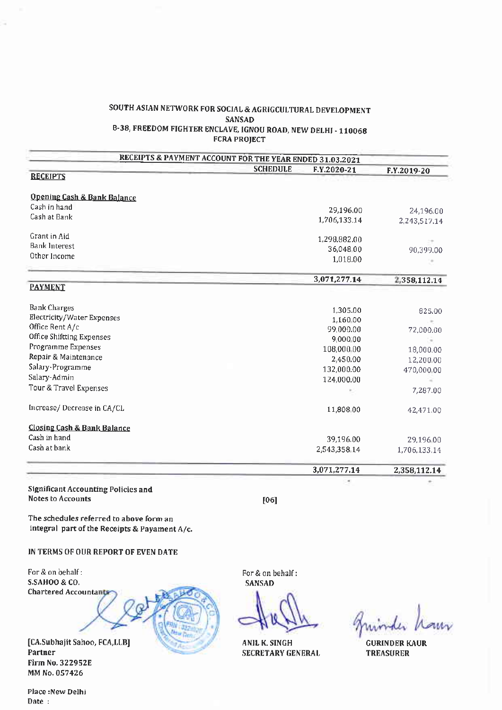#### SOUTH ASIAN NETWORK FOR SOCIAL & AGRIGCULTURAL DEVELOPMENT **SANSAD** B-38, FREEDOM FIGHTER ENCLAVE, IGNOU ROAD, NEW DELHI - 110068 **FCRA PROJECT**

|                                            | <b>RECEIPTS &amp; PAYMENT ACCOUNT FOR THE YEAR ENDED 31.03.2021</b><br><b>SCHEDULE</b> |              |              |
|--------------------------------------------|----------------------------------------------------------------------------------------|--------------|--------------|
| <b>RECEIPTS</b>                            |                                                                                        | F.Y.2020-21  | F.Y.2019-20  |
|                                            |                                                                                        |              |              |
| Opening Cash & Bank Balance                |                                                                                        |              |              |
| Cash in hand                               |                                                                                        | 29,196.00    | 24,196.00    |
| Cash at Bank                               |                                                                                        | 1,706,133.14 | 2,243,517.14 |
|                                            |                                                                                        |              |              |
| Grant in Aid                               |                                                                                        | 1,298,882.00 |              |
| <b>Bank Interest</b>                       |                                                                                        | 36,048 00    | 90,399.00    |
| Other Income                               |                                                                                        | 1,018.00     |              |
|                                            |                                                                                        |              |              |
|                                            |                                                                                        | 3,071,277.14 | 2,358,112.14 |
| <b>PAYMENT</b>                             |                                                                                        |              |              |
| <b>Bank Charges</b>                        |                                                                                        | 1,305.00     | 825.00       |
| Electricity/Water Expenses                 |                                                                                        | 1,160 00     |              |
| Office Rent A/c                            |                                                                                        | 99,000.00    | 72,000.00    |
| Office Shiftting Expenses                  |                                                                                        | 9,000.00     | $\sim$       |
| Programme Expenses                         |                                                                                        | 108,000 00   | 18,000.00    |
| Repair & Maintenance                       |                                                                                        | 2,450.00     | 12,200.00    |
| Salary-Programme                           |                                                                                        | 132,000.00   | 470,000 00   |
| Salary-Admin                               |                                                                                        | 124,000.00   |              |
| Tour & Travel Expenses                     |                                                                                        |              | 7,287.00     |
| Increase/Decrease in CA/CL                 |                                                                                        | 11,808 00    | 42,471.00    |
|                                            |                                                                                        |              |              |
| <b>Closing Cash &amp; Bank Balance</b>     |                                                                                        |              |              |
| Cash in hand                               |                                                                                        | 39,196.00    | 29,196.00    |
| Cash at bank                               |                                                                                        | 2,543,358.14 | 1,706,133.14 |
|                                            |                                                                                        | 3,071,277.14 | 2,358,112.14 |
|                                            |                                                                                        |              |              |
| <b>Significant Accounting Policies and</b> |                                                                                        |              |              |
| <b>Notes to Accounts</b>                   | [06]                                                                                   |              |              |

The schedules referred to above form an integral part of the Receipts & Payament A/c.

IN TERMS OF OUR REPORT OF EVEN DATE

For & on behalf: S.SAHOO & CO. **Chartered Accountants** 



[CA.Subhajit Sahoo, FCA,LLB] Partner **Firm No. 322952E** MM No. 057426

For & on behalf: **SANSAD** 

**ANIL K. SINGH SECRETARY GENERAL** 

**GURINDER KAUR TREASURER** 

Place: New Delhi Date: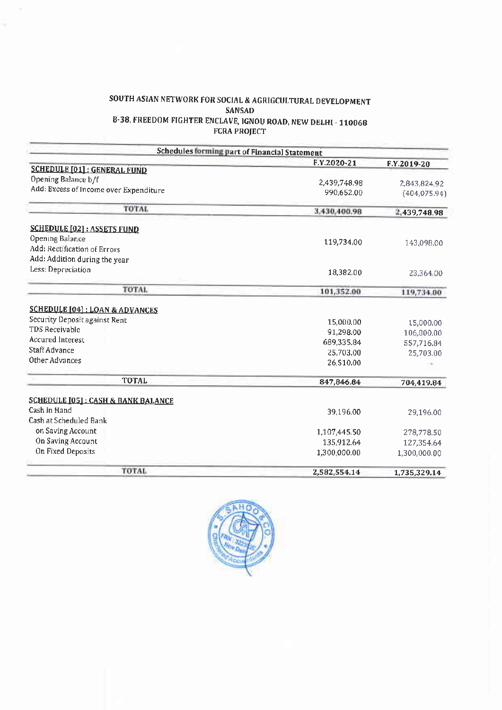# SOUTH ASIAN NETWORK FOR SOCIAL & AGRIGCULTURAL DEVELOPMENT SANSAD B-38, FREEDOM FIGHTER ENCLAVE, IGNOU ROAD, NEW DELHI - 110068<br>FCRA PROJECT

|                                                | Schedules forming part of Financial Statement |               |
|------------------------------------------------|-----------------------------------------------|---------------|
|                                                | F.Y.2020-21                                   | F.Y.2019-20   |
| <b>SCHEDULE [01]: GENERAL FUND</b>             |                                               |               |
| Opening Balance b/f                            | 2,439,748,98                                  | 2,843,824 92  |
| Add: Excess of Income over Expenditure         | 990.652.00                                    | (404, 075.94) |
| <b>TOTAL</b>                                   | 3,430,400.98                                  | 2,439,748.98  |
| <b>SCHEDULE [02] : ASSETS FUND</b>             |                                               |               |
| Opening Balance                                | 119,734.00                                    |               |
| Add: Rectification of Errors                   |                                               | 143,098.00    |
| Add: Addition during the year                  |                                               |               |
| Less: Depreciation                             | 18,382 00                                     | 23,364.00     |
| TOTAL                                          | 101,352.00                                    | 119,734.00    |
| <b>SCHEDULE [04]: LOAN &amp; ADVANCES</b>      |                                               |               |
| Security Deposit against Rent                  | 15,000.00                                     | 15,000.00     |
| <b>TDS Receivable</b>                          | 91,298.00                                     | 106,000.00    |
| <b>Accured Interest</b>                        | 689,335.84                                    | 557,716.84    |
| <b>Staff Advance</b>                           | 25,703.00                                     | 25,703.00     |
| Other Advances                                 | 26,510.00                                     |               |
| <b>TOTAL</b>                                   | 847,846.84                                    | 704,419.84    |
| <b>SCHEDULE [05] : CASH &amp; BANK BALANCE</b> |                                               |               |
| Cash in Hand                                   | 39.196.00                                     | 29,196.00     |
| Cash at Scheduled Bank                         |                                               |               |
| on Saving Account                              | 1,107,445.50                                  | 278,778.50    |
| On Saving Account                              | 135,912.64                                    | 127,354.64    |
| On Fixed Deposits                              | 1,300,000.00                                  | 1,300,000.00  |
| TOTAL                                          | 2,582,554.14                                  | 1,735,329.14  |

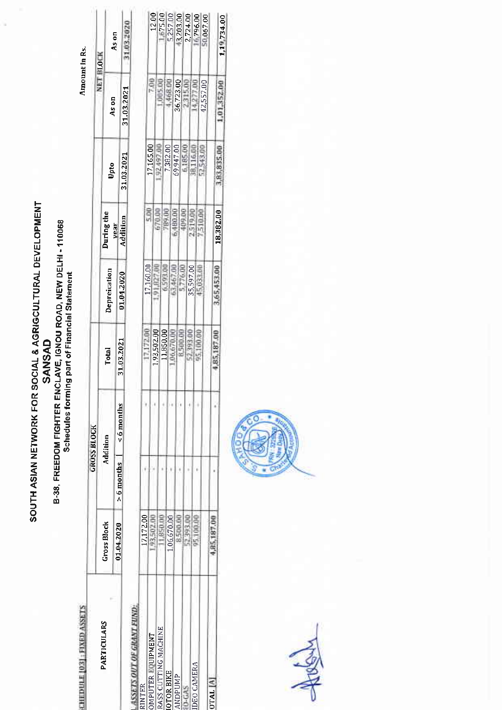# SOUTH ASIAN NETWORK FOR SOCIAL & AGRIGCULTURAL DEVELOPMENT B-38, FREEDOM FIGHTER ENCLAVE, IGNOU ROAD, NEW DELHI - 110068<br>Schedules forming part of Financial Statement **SANSAD**

Amount In Rs.

**CHEDULE 1031: FIXED ASSETS** 

|                            |                    |                                | <b>URUSS BLOUK</b> |              |              |                  |            |               |            |
|----------------------------|--------------------|--------------------------------|--------------------|--------------|--------------|------------------|------------|---------------|------------|
|                            |                    |                                |                    |              |              |                  |            |               | NET BLOCK  |
| PARTICULARS                |                    |                                |                    |              |              |                  |            |               |            |
|                            | <b>Gross Block</b> |                                | Addition           | Total        | Depreication | During the       | Upto       | As on         |            |
|                            | 01.04.2020         | $> 6$ months $  \leq 6$ months |                    |              |              |                  |            |               | As on      |
|                            |                    |                                |                    | 31.03.2021   | 01.04.2020   | vear<br>Addition | 31.03.2021 | 31.03.2021    |            |
|                            |                    |                                |                    |              |              |                  |            |               | 31.03.2020 |
|                            |                    |                                |                    |              |              |                  |            |               |            |
| <b>INTER</b>               | 17,172.00          |                                |                    |              |              |                  |            |               |            |
|                            |                    |                                |                    | 17.172.00    | 17,160.00    |                  |            |               |            |
| JMPUTER EQUIPMENT          |                    |                                |                    |              |              |                  | 17,165.00  |               | 1200       |
| <b>ASS CUTTING MACHINE</b> |                    |                                |                    | 1,93,502.00  | 1.827.0      | 70.00            | 92,497.00  |               |            |
|                            |                    |                                |                    | 11,850.00    |              |                  |            |               | 1,67500    |
| <b>OTOR BIKE</b>           |                    |                                |                    |              | -403,00-     | 189.00           | 7,382.00   | <b>F68.00</b> |            |
|                            | ,06,670.00         |                                |                    | 06.670.00    |              |                  |            |               |            |
| <b>ANDPUMP</b>             |                    |                                |                    |              |              |                  | 69,947.00  | 36,723.00     |            |
|                            |                    |                                |                    | <b>COLOR</b> | む ちせい のみ     | 医心理 化二甲基         |            |               | 13,203.00  |

**ID-GAS**<br>TDEO CAMERA

**OTAL** [A]



**PPL** 

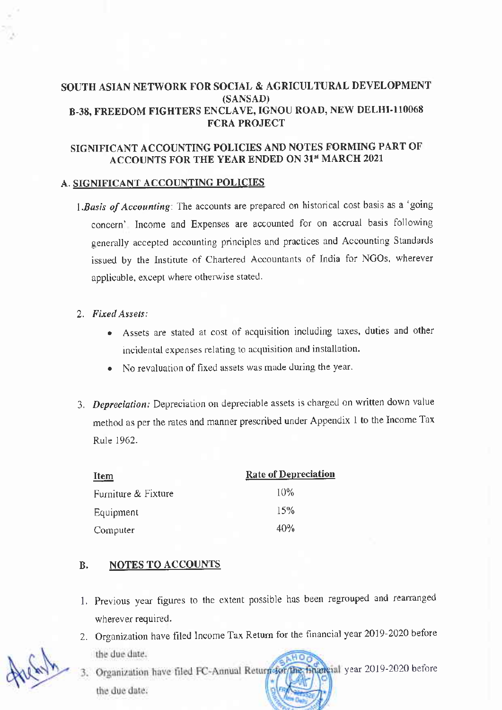# SOUTH ASIAN NETWORK FOR SOCIAL & AGRICULTURAL DEVELOPMENT (SANSAD) B-38, FREEDOM FIGHTERS ENCLAVE, IGNOU ROAD, NEW DELHI-110068 FCRA PROJECT

# SIGNIFICANT ACCOUNTING POLICIES AND NOTES FORMING PART OF ACCOUNTS FOR THE YEAR ENDED ON 31st MARCH 2021

#### A. SIGNIFICANT ACCOUNTING POLICIES

1. Basis of Accounting: The accounts are prepared on historical cost basis as a 'going concern' Income and Expenses are accounted for on accrual basis following generally accepted accounting principles and practices and Accounting Standards issued by the Institute of Chartered Accountants of India for NGOs, wherever applicable, except where otherwise stated.

#### 2. Fired Assets:

- Assets are stated at cost of acquisition including taxes, duties and other lncidentdl expenses felating to acquisition and installation.
- . No revaluation of tixed assets was made during the year.
- 3. Depreciation: Depreciation on depreciable assets is charged on written down value method as per the rates and manner prescribed under Appendix I to the Income Tax Rule 1962.

| <u>Item</u>         | <b>Rate of Depreciation</b> |
|---------------------|-----------------------------|
| Furniture & Fixture | 10%                         |
| Equipment           | 15%                         |
| Computer            | 40%                         |

# B. NOTES TO ACCOUNTS

- 1. Previous year figures to the extent possible has been regrouped and rearranged wherever required.
- 2. Organization have filed Income Tax Return for the financial year 2019-2020 before the due date.
- wareial year 2019-2020 before 3. Organization have filed FC-Annual Return \$60 the due date.